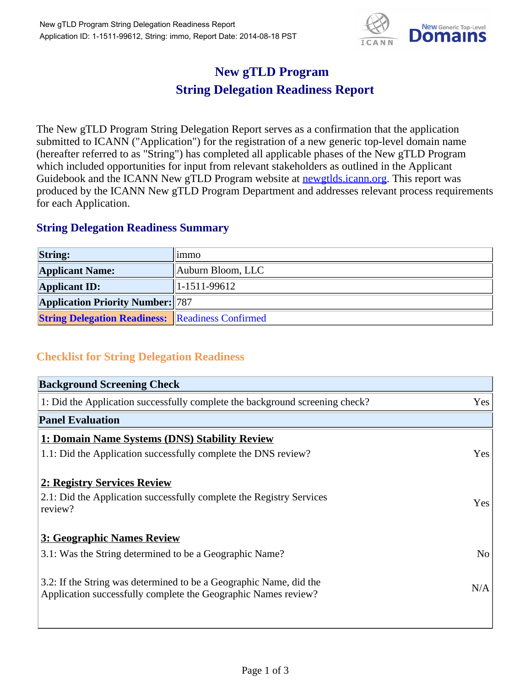

## **New gTLD Program String Delegation Readiness Report**

The New gTLD Program String Delegation Report serves as a confirmation that the application submitted to ICANN ("Application") for the registration of a new generic top-level domain name (hereafter referred to as "String") has completed all applicable phases of the New gTLD Program which included opportunities for input from relevant stakeholders as outlined in the Applicant Guidebook and the ICANN New gTLD Program website at newgtlds.icann.org. This report was produced by the ICANN New gTLD Program Department and addresses relevant process requirements for each Application.

## **String Delegation Readiness Summary**

| <b>String:</b>                                          | limmo                     |
|---------------------------------------------------------|---------------------------|
| <b>Applicant Name:</b>                                  | Auburn Bloom, LLC         |
| <b>Applicant ID:</b>                                    | $\frac{11-1511-99612}{2}$ |
| <b>Application Priority Number: 787</b>                 |                           |
| <b>String Delegation Readiness: Readiness Confirmed</b> |                           |

## **Checklist for String Delegation Readiness**

| <b>Background Screening Check</b>                                                                                                    |                |
|--------------------------------------------------------------------------------------------------------------------------------------|----------------|
| 1: Did the Application successfully complete the background screening check?                                                         | Yes            |
| <b>Panel Evaluation</b>                                                                                                              |                |
| 1: Domain Name Systems (DNS) Stability Review                                                                                        |                |
| 1.1: Did the Application successfully complete the DNS review?                                                                       | Yes            |
| 2: Registry Services Review                                                                                                          |                |
| 2.1: Did the Application successfully complete the Registry Services<br>review?                                                      | Yes            |
| 3: Geographic Names Review                                                                                                           |                |
| 3.1: Was the String determined to be a Geographic Name?                                                                              | N <sub>o</sub> |
| 3.2: If the String was determined to be a Geographic Name, did the<br>Application successfully complete the Geographic Names review? | N/A            |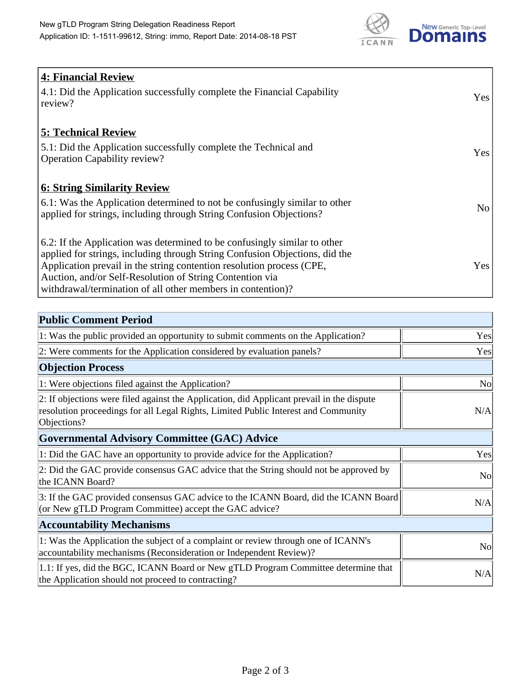

| <b>4: Financial Review</b><br>4.1: Did the Application successfully complete the Financial Capability<br>review?                                                                                                                                                                                                                                             | Yes             |
|--------------------------------------------------------------------------------------------------------------------------------------------------------------------------------------------------------------------------------------------------------------------------------------------------------------------------------------------------------------|-----------------|
| <b>5: Technical Review</b><br>5.1: Did the Application successfully complete the Technical and<br><b>Operation Capability review?</b>                                                                                                                                                                                                                        | Yes             |
| <b>6: String Similarity Review</b><br>6.1: Was the Application determined to not be confusingly similar to other<br>applied for strings, including through String Confusion Objections?                                                                                                                                                                      | No <sub>1</sub> |
| 6.2: If the Application was determined to be confusingly similar to other<br>applied for strings, including through String Confusion Objections, did the<br>Application prevail in the string contention resolution process (CPE,<br>Auction, and/or Self-Resolution of String Contention via<br>withdrawal/termination of all other members in contention)? | Yes             |

| <b>Public Comment Period</b>                                                                                                                                                                   |                |
|------------------------------------------------------------------------------------------------------------------------------------------------------------------------------------------------|----------------|
| 1: Was the public provided an opportunity to submit comments on the Application?                                                                                                               | Yes            |
| 2: Were comments for the Application considered by evaluation panels?                                                                                                                          | Yes            |
| <b>Objection Process</b>                                                                                                                                                                       |                |
| 1: Were objections filed against the Application?                                                                                                                                              | <b>No</b>      |
| 2: If objections were filed against the Application, did Applicant prevail in the dispute<br>resolution proceedings for all Legal Rights, Limited Public Interest and Community<br>Objections? | N/A            |
| <b>Governmental Advisory Committee (GAC) Advice</b>                                                                                                                                            |                |
| 1: Did the GAC have an opportunity to provide advice for the Application?                                                                                                                      | Yes            |
| 2: Did the GAC provide consensus GAC advice that the String should not be approved by<br>the ICANN Board?                                                                                      | N <sub>o</sub> |
| 3: If the GAC provided consensus GAC advice to the ICANN Board, did the ICANN Board<br>(or New gTLD Program Committee) accept the GAC advice?                                                  | N/A            |
| <b>Accountability Mechanisms</b>                                                                                                                                                               |                |
| 1: Was the Application the subject of a complaint or review through one of ICANN's<br>accountability mechanisms (Reconsideration or Independent Review)?                                       | N <sub>0</sub> |
| 1.1: If yes, did the BGC, ICANN Board or New gTLD Program Committee determine that<br>the Application should not proceed to contracting?                                                       | N/A            |